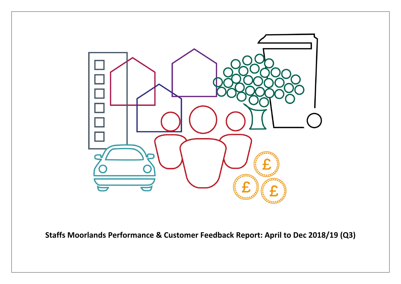

**Staffs Moorlands Performance & Customer Feedback Report: April to Dec 2018/19 (Q3)**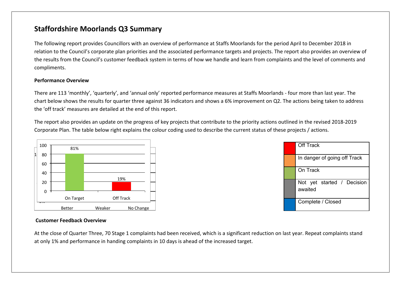## **Staffordshire Moorlands Q3 Summary**

The following report provides Councillors with an overview of performance at Staffs Moorlands for the period April to December 2018 in relation to the Council's corporate plan priorities and the associated performance targets and projects. The report also provides an overview of the results from the Council's customer feedback system in terms of how we handle and learn from complaints and the level of comments and compliments.

#### **Performance Overview**

There are 113 'monthly', 'quarterly', and 'annual only' reported performance measures at Staffs Moorlands - four more than last year. The chart below shows the results for quarter three against 36 indicators and shows a 6% improvement on Q2. The actions being taken to address the 'off track' measures are detailed at the end of this report.

The report also provides an update on the progress of key projects that contribute to the priority actions outlined in the revised 2018-2019 Corporate Plan. The table below right explains the colour coding used to describe the current status of these projects / actions.





#### **Customer Feedback Overview**

At the close of Quarter Three, 70 Stage 1 complaints had been received, which is a significant reduction on last year. Repeat complaints stand at only 1% and performance in handing complaints in 10 days is ahead of the increased target.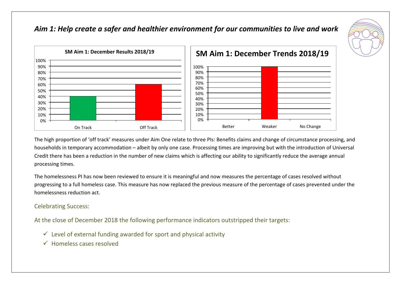## *Aim 1: Help create a safer and healthier environment for our communities to live and work*





The high proportion of 'off track' measures under Aim One relate to three PIs: Benefits claims and change of circumstance processing, and households in temporary accommodation – albeit by only one case. Processing times are improving but with the introduction of Universal Credit there has been a reduction in the number of new claims which is affecting our ability to significantly reduce the average annual processing times.

The homelessness PI has now been reviewed to ensure it is meaningful and now measures the percentage of cases resolved without progressing to a full homeless case. This measure has now replaced the previous measure of the percentage of cases prevented under the homelessness reduction act.

#### Celebrating Success:

- $\checkmark$  Level of external funding awarded for sport and physical activity
- Homeless cases resolved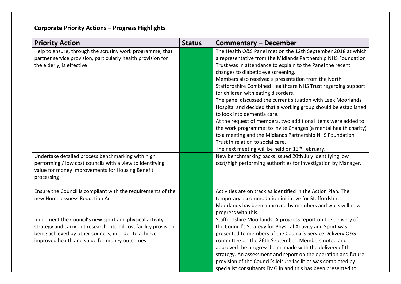# **Corporate Priority Actions – Progress Highlights**

| <b>Priority Action</b>                                                                                                                                                                                                               | <b>Status</b> | <b>Commentary – December</b>                                                                                                                                                                                                                                                                                                                                                                                                                                                                                                                                                                                                                                                                                                                                                                                                                                            |
|--------------------------------------------------------------------------------------------------------------------------------------------------------------------------------------------------------------------------------------|---------------|-------------------------------------------------------------------------------------------------------------------------------------------------------------------------------------------------------------------------------------------------------------------------------------------------------------------------------------------------------------------------------------------------------------------------------------------------------------------------------------------------------------------------------------------------------------------------------------------------------------------------------------------------------------------------------------------------------------------------------------------------------------------------------------------------------------------------------------------------------------------------|
| Help to ensure, through the scrutiny work programme, that<br>partner service provision, particularly health provision for<br>the elderly, is effective                                                                               |               | The Health O&S Panel met on the 12th September 2018 at which<br>a representative from the Midlands Partnership NHS Foundation<br>Trust was in attendance to explain to the Panel the recent<br>changes to diabetic eye screening.<br>Members also received a presentation from the North<br>Staffordshire Combined Healthcare NHS Trust regarding support<br>for children with eating disorders.<br>The panel discussed the current situation with Leek Moorlands<br>Hospital and decided that a working group should be established<br>to look into dementia care.<br>At the request of members, two additional items were added to<br>the work programme: to invite Changes (a mental health charity)<br>to a meeting and the Midlands Partnership NHS Foundation<br>Trust in relation to social care.<br>The next meeting will be held on 13 <sup>th</sup> February. |
| Undertake detailed process benchmarking with high<br>performing / low cost councils with a view to identifying<br>value for money improvements for Housing Benefit<br>processing                                                     |               | New benchmarking packs issued 20th July identifying low<br>cost/high performing authorities for investigation by Manager.                                                                                                                                                                                                                                                                                                                                                                                                                                                                                                                                                                                                                                                                                                                                               |
| Ensure the Council is compliant with the requirements of the<br>new Homelessness Reduction Act                                                                                                                                       |               | Activities are on track as identified in the Action Plan. The<br>temporary accommodation initiative for Staffordshire<br>Moorlands has been approved by members and work will now<br>progress with this.                                                                                                                                                                                                                                                                                                                                                                                                                                                                                                                                                                                                                                                                |
| Implement the Council's new sport and physical activity<br>strategy and carry out research into nil cost facility provision<br>being achieved by other councils; in order to achieve<br>improved health and value for money outcomes |               | Staffordshire Moorlands: A progress report on the delivery of<br>the Council's Strategy for Physical Activity and Sport was<br>presented to members of the Council's Service Delivery O&S<br>committee on the 26th September. Members noted and<br>approved the progress being made with the delivery of the<br>strategy. An assessment and report on the operation and future<br>provision of the Council's leisure facilities was completed by<br>specialist consultants FMG in and this has been presented to                                                                                                                                                                                                                                                                                                                                                        |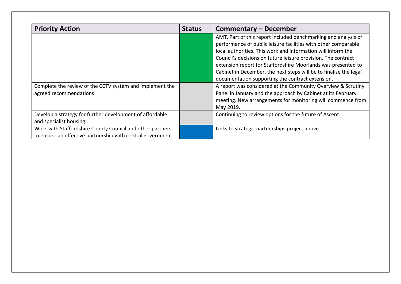| <b>Priority Action</b>                                                                                                  | <b>Status</b> | <b>Commentary – December</b>                                                                                                                                                                                                                                                                                                                                                                                                                                |
|-------------------------------------------------------------------------------------------------------------------------|---------------|-------------------------------------------------------------------------------------------------------------------------------------------------------------------------------------------------------------------------------------------------------------------------------------------------------------------------------------------------------------------------------------------------------------------------------------------------------------|
|                                                                                                                         |               | AMT. Part of this report included benchmarking and analysis of<br>performance of public leisure facilities with other comparable<br>local authorities. This work and information will inform the<br>Council's decisions on future leisure provision. The contract<br>extension report for Staffordshire Moorlands was presented to<br>Cabinet in December, the next steps will be to finalise the legal<br>documentation supporting the contract extension. |
| Complete the review of the CCTV system and implement the<br>agreed recommendations                                      |               | A report was considered at the Community Overview & Scrutiny<br>Panel in January and the approach by Cabinet at its February<br>meeting. New arrangements for monitoring will commence from<br>May 2019.                                                                                                                                                                                                                                                    |
| Develop a strategy for further development of affordable<br>and specialist housing                                      |               | Continuing to review options for the future of Ascent.                                                                                                                                                                                                                                                                                                                                                                                                      |
| Work with Staffordshire County Council and other partners<br>to ensure an effective partnership with central government |               | Links to strategic partnerships project above.                                                                                                                                                                                                                                                                                                                                                                                                              |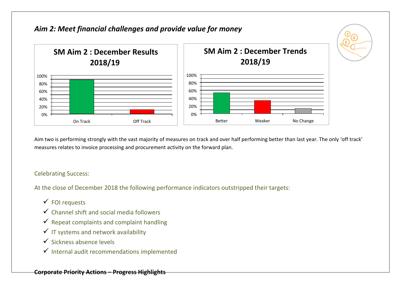

Aim two is performing strongly with the vast majority of measures on track and over half performing better than last year. The only 'off track' measures relates to invoice processing and procurement activity on the forward plan.

### Celebrating Success:

- $\checkmark$  FOI requests
- $\checkmark$  Channel shift and social media followers
- $\checkmark$  Repeat complaints and complaint handling
- $\checkmark$  IT systems and network availability
- $\checkmark$  Sickness absence levels
- $\checkmark$  Internal audit recommendations implemented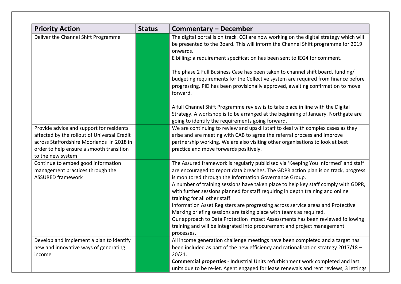| <b>Priority Action</b>                                                                                                                                                                                | <b>Status</b> | <b>Commentary - December</b>                                                                                                                                                                                                                                                                                                                                                                                                                                                                                                                                                                                                                                                                                                                                                    |
|-------------------------------------------------------------------------------------------------------------------------------------------------------------------------------------------------------|---------------|---------------------------------------------------------------------------------------------------------------------------------------------------------------------------------------------------------------------------------------------------------------------------------------------------------------------------------------------------------------------------------------------------------------------------------------------------------------------------------------------------------------------------------------------------------------------------------------------------------------------------------------------------------------------------------------------------------------------------------------------------------------------------------|
| Deliver the Channel Shift Programme                                                                                                                                                                   |               | The digital portal is on track. CGI are now working on the digital strategy which will<br>be presented to the Board. This will inform the Channel Shift programme for 2019<br>onwards.<br>E billing: a requirement specification has been sent to IEG4 for comment.<br>The phase 2 Full Business Case has been taken to channel shift board, funding/                                                                                                                                                                                                                                                                                                                                                                                                                           |
|                                                                                                                                                                                                       |               | budgeting requirements for the Collective system are required from finance before<br>progressing. PID has been provisionally approved, awaiting confirmation to move<br>forward.                                                                                                                                                                                                                                                                                                                                                                                                                                                                                                                                                                                                |
|                                                                                                                                                                                                       |               | A full Channel Shift Programme review is to take place in line with the Digital<br>Strategy. A workshop is to be arranged at the beginning of January. Northgate are<br>going to identify the requirements going forward.                                                                                                                                                                                                                                                                                                                                                                                                                                                                                                                                                       |
| Provide advice and support for residents<br>affected by the rollout of Universal Credit<br>across Staffordshire Moorlands in 2018 in<br>order to help ensure a smooth transition<br>to the new system |               | We are continuing to review and upskill staff to deal with complex cases as they<br>arise and are meeting with CAB to agree the referral process and improve<br>partnership working. We are also visiting other organisations to look at best<br>practice and move forwards positively.                                                                                                                                                                                                                                                                                                                                                                                                                                                                                         |
| Continue to embed good information<br>management practices through the<br><b>ASSURED framework</b>                                                                                                    |               | The Assured framework is regularly publicised via 'Keeping You Informed' and staff<br>are encouraged to report data breaches. The GDPR action plan is on track, progress<br>is monitored through the Information Governance Group.<br>A number of training sessions have taken place to help key staff comply with GDPR,<br>with further sessions planned for staff requiring in depth training and online<br>training for all other staff.<br>Information Asset Registers are progressing across service areas and Protective<br>Marking briefing sessions are taking place with teams as required.<br>Our approach to Data Protection Impact Assessments has been reviewed following<br>training and will be integrated into procurement and project management<br>processes. |
| Develop and implement a plan to identify<br>new and innovative ways of generating<br>income                                                                                                           |               | All income generation challenge meetings have been completed and a target has<br>been included as part of the new efficiency and rationalisation strategy 2017/18 -<br>20/21.<br><b>Commercial properties</b> - Industrial Units refurbishment work completed and last<br>units due to be re-let. Agent engaged for lease renewals and rent reviews, 3 lettings                                                                                                                                                                                                                                                                                                                                                                                                                 |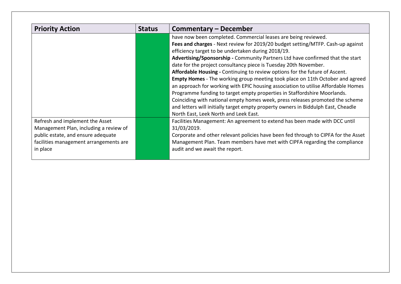| <b>Priority Action</b>                 | <b>Status</b> | Commentary – December                                                                |
|----------------------------------------|---------------|--------------------------------------------------------------------------------------|
|                                        |               | have now been completed. Commercial leases are being reviewed.                       |
|                                        |               | Fees and charges - Next review for 2019/20 budget setting/MTFP. Cash-up against      |
|                                        |               | efficiency target to be undertaken during 2018/19.                                   |
|                                        |               | Advertising/Sponsorship - Community Partners Ltd have confirmed that the start       |
|                                        |               | date for the project consultancy piece is Tuesday 20th November.                     |
|                                        |               | Affordable Housing - Continuing to review options for the future of Ascent.          |
|                                        |               | <b>Empty Homes</b> - The working group meeting took place on 11th October and agreed |
|                                        |               | an approach for working with EPIC housing association to utilise Affordable Homes    |
|                                        |               | Programme funding to target empty properties in Staffordshire Moorlands.             |
|                                        |               | Coinciding with national empty homes week, press releases promoted the scheme        |
|                                        |               | and letters will initially target empty property owners in Biddulph East, Cheadle    |
|                                        |               | North East, Leek North and Leek East.                                                |
| Refresh and implement the Asset        |               | Facilities Management: An agreement to extend has been made with DCC until           |
| Management Plan, including a review of |               | 31/03/2019.                                                                          |
| public estate, and ensure adequate     |               | Corporate and other relevant policies have been fed through to CIPFA for the Asset   |
| facilities management arrangements are |               | Management Plan. Team members have met with CIPFA regarding the compliance           |
| in place                               |               | audit and we await the report.                                                       |
|                                        |               |                                                                                      |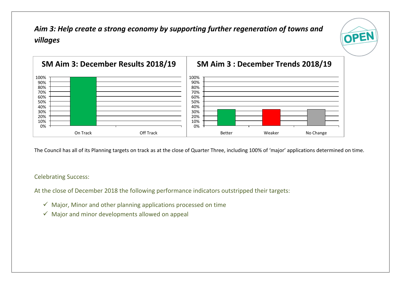*Aim 3: Help create a strong economy by supporting further regeneration of towns and villages* 



OPEN

The Council has all of its Planning targets on track as at the close of Quarter Three, including 100% of 'major' applications determined on time.

#### Celebrating Success:

- $\checkmark$  Major, Minor and other planning applications processed on time
- $\checkmark$  Major and minor developments allowed on appeal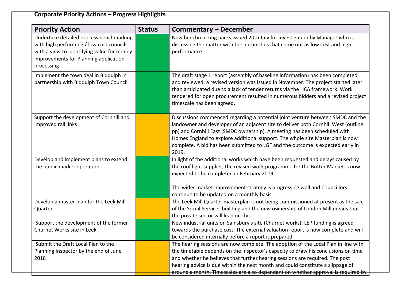# **Corporate Priority Actions – Progress Highlights**

| <b>Priority Action</b>                                                                                                                                                                   | <b>Status</b> | <b>Commentary - December</b>                                                                                                                                                                                                                                                                                                                                                                                                  |  |  |  |
|------------------------------------------------------------------------------------------------------------------------------------------------------------------------------------------|---------------|-------------------------------------------------------------------------------------------------------------------------------------------------------------------------------------------------------------------------------------------------------------------------------------------------------------------------------------------------------------------------------------------------------------------------------|--|--|--|
| Undertake detailed process benchmarking<br>with high performing / low cost councils<br>with a view to identifying value for money<br>improvements for Planning application<br>processing |               | New benchmarking packs issued 20th July for investigation by Manager who is<br>discussing the matter with the authorities that come out as low cost and high<br>performance.                                                                                                                                                                                                                                                  |  |  |  |
| Implement the town deal in Biddulph in<br>partnership with Biddulph Town Council                                                                                                         |               | The draft stage 1 report (assembly of baseline information) has been completed<br>and reviewed; a revised version was issued in November. The project started later<br>than anticipated due to a lack of tender returns via the HCA framework. Work<br>tendered for open procurement resulted in numerous bidders and a revised project<br>timescale has been agreed.                                                         |  |  |  |
| Support the development of Cornhill and<br>improved rail links                                                                                                                           |               | Discussions commenced regarding a potential joint venture between SMDC and the<br>landowner and developer of an adjacent site to deliver both Cornhill West (outline<br>pp) and Cornhill East (SMDC ownership). A meeting has been scheduled with<br>Homes England to explore additional support. The whole site Masterplan is now<br>complete. A bid has been submitted to LGF and the outcome is expected early in<br>2019. |  |  |  |
| Develop and implement plans to extend<br>the public market operations                                                                                                                    |               | In light of the additional works which have been requested and delays caused by<br>the roof light supplier, the revised work programme for the Butter Market is now<br>expected to be completed in February 2019.<br>The wider market improvement strategy is progressing well and Councillors<br>continue to be updated on a monthly basis.                                                                                  |  |  |  |
| Develop a master plan for the Leek Mill<br>Quarter                                                                                                                                       |               | The Leek Mill Quarter masterplan is not being commissioned at present as the sale<br>of the Social Services building and the new ownership of London Mill means that<br>the private sector will lead on this.                                                                                                                                                                                                                 |  |  |  |
| Support the development of the former<br>Churnet Works site in Leek                                                                                                                      |               | New industrial units on Sainsbury's site (Churnet works): LEP funding is agreed<br>towards the purchase cost. The external valuation report is now complete and will<br>be considered internally before a report is prepared.                                                                                                                                                                                                 |  |  |  |
| Submit the Draft Local Plan to the<br>Planning Inspector by the end of June<br>2018                                                                                                      |               | The hearing sessions are now complete. The adoption of the Local Plan in line with<br>the timetable depends on the Inspector's capacity to draw his conclusions on time<br>and whether he believes that further hearing sessions are required. The post<br>hearing advice is due within the next month and could constitute a slippage of<br>around a month. Timescales are also dependant on whether approval is required by |  |  |  |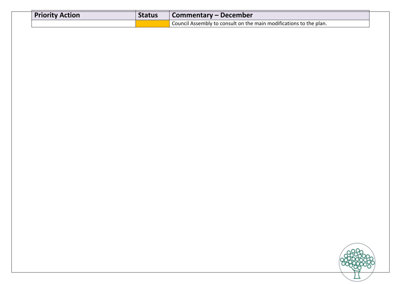| <b>Priority Action</b> | <b>Status</b> | Commentary – December                                              |
|------------------------|---------------|--------------------------------------------------------------------|
|                        |               | Council Assembly to consult on the main modifications to the plan. |

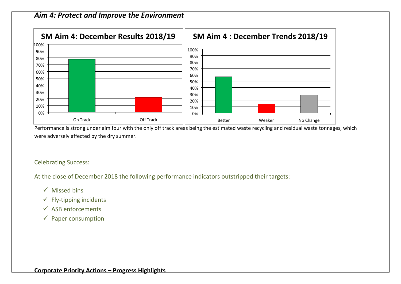### *Aim 4: Protect and Improve the Environment*



Performance is strong under aim four with the only off track areas being the estimated waste recycling and residual waste tonnages, which were adversely affected by the dry summer.

#### Celebrating Success:

- $\checkmark$  Missed bins
- $\checkmark$  Fly-tipping incidents
- $\checkmark$  ASB enforcements
- $\checkmark$  Paper consumption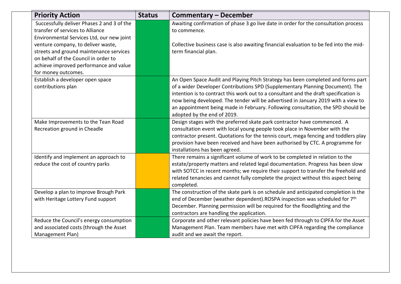| <b>Priority Action</b>                                                                                                                                                                 | <b>Status</b> | <b>Commentary – December</b>                                                                                                                                                                                                                                                                                                                                                                                                                                       |
|----------------------------------------------------------------------------------------------------------------------------------------------------------------------------------------|---------------|--------------------------------------------------------------------------------------------------------------------------------------------------------------------------------------------------------------------------------------------------------------------------------------------------------------------------------------------------------------------------------------------------------------------------------------------------------------------|
| Successfully deliver Phases 2 and 3 of the<br>transfer of services to Alliance<br>Environmental Services Ltd, our new joint                                                            |               | Awaiting confirmation of phase 3 go live date in order for the consultation process<br>to commence.                                                                                                                                                                                                                                                                                                                                                                |
| venture company, to deliver waste,<br>streets and ground maintenance services<br>on behalf of the Council in order to<br>achieve improved performance and value<br>for money outcomes. |               | Collective business case is also awaiting financial evaluation to be fed into the mid-<br>term financial plan.                                                                                                                                                                                                                                                                                                                                                     |
| Establish a developer open space<br>contributions plan                                                                                                                                 |               | An Open Space Audit and Playing Pitch Strategy has been completed and forms part<br>of a wider Developer Contributions SPD (Supplementary Planning Document). The<br>intention is to contract this work out to a consultant and the draft specification is<br>now being developed. The tender will be advertised in January 2019 with a view to<br>an appointment being made in February. Following consultation, the SPD should be<br>adopted by the end of 2019. |
| Make Improvements to the Tean Road<br>Recreation ground in Cheadle                                                                                                                     |               | Design stages with the preferred skate park contractor have commenced. A<br>consultation event with local young people took place in November with the<br>contractor present. Quotations for the tennis court, mega fencing and toddlers play<br>provision have been received and have been authorised by CTC. A programme for<br>installations has been agreed.                                                                                                   |
| Identify and implement an approach to<br>reduce the cost of country parks                                                                                                              |               | There remains a significant volume of work to be completed in relation to the<br>estate/property matters and related legal documentation. Progress has been slow<br>with SOTCC in recent months; we require their support to transfer the freehold and<br>related tenancies and cannot fully complete the project without this aspect being<br>completed.                                                                                                          |
| Develop a plan to improve Brough Park<br>with Heritage Lottery Fund support                                                                                                            |               | The construction of the skate park is on schedule and anticipated completion is the<br>end of December (weather dependent).ROSPA inspection was scheduled for 7 <sup>th</sup><br>December. Planning permission will be required for the floodlighting and the<br>contractors are handling the application.                                                                                                                                                         |
| Reduce the Council's energy consumption<br>and associated costs (through the Asset<br>Management Plan)                                                                                 |               | Corporate and other relevant policies have been fed through to CIPFA for the Asset<br>Management Plan. Team members have met with CIPFA regarding the compliance<br>audit and we await the report.                                                                                                                                                                                                                                                                 |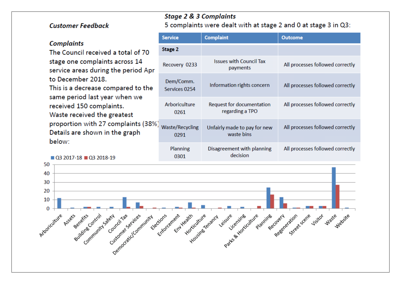### **Customer Feedback**

Q3 2017-18 Q3 2018-19

### **Complaints**

The Council received a total of 70 stage one complaints across 14 service areas during the period Apr to December 2018. This is a decrease compared to the same period last year when we received 150 complaints. Waste received the greatest proportion with 27 complaints (38%) Details are shown in the graph below:

### **Stage 2 & 3 Complaints**

5 complaints were dealt with at stage 2 and 0 at stage 3 in Q3:

| <b>Service</b><br><b>Complaint</b> |                                |                                              | Outcome                          |  |  |
|------------------------------------|--------------------------------|----------------------------------------------|----------------------------------|--|--|
|                                    | <b>Stage 2</b>                 |                                              |                                  |  |  |
|                                    | Recovery 0233                  | <b>Issues with Council Tax</b><br>payments   | All processes followed correctly |  |  |
|                                    | Dem/Comm.<br>Services 0254     | Information rights concern                   | All processes followed correctly |  |  |
|                                    | Arboriculture<br>0261          | Request for documentation<br>regarding a TPO | All processes followed correctly |  |  |
|                                    | <b>Waste/Recycling</b><br>0291 | Unfairly made to pay for new<br>waste bins   | All processes followed correctly |  |  |
|                                    | Planning<br>0301               | Disagreement with planning<br>decision       | All processes followed correctly |  |  |

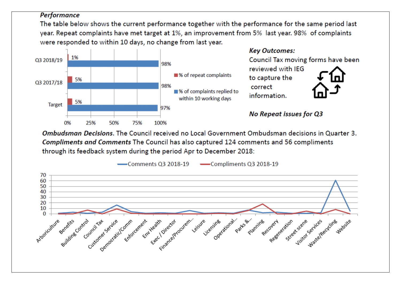### **Performance**

The table below shows the current performance together with the performance for the same period last year. Repeat complaints have met target at 1%, an improvement from 5% last year. 98% of complaints were responded to within 10 days, no change from last year.



Ombudsman Decisions. The Council received no Local Government Ombudsman decisions in Quarter 3. **Compliments and Comments The Council has also captured 124 comments and 56 compliments** through its feedback system during the period Apr to December 2018:

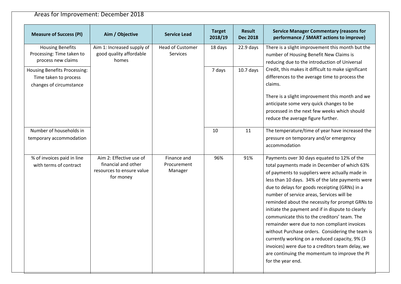# Areas for Improvement: December 2018

| <b>Measure of Success (PI)</b>                                                          | Aim / Objective                                                                          | <b>Service Lead</b>                        | <b>Target</b><br>2018/19 | <b>Result</b><br><b>Dec 2018</b> | <b>Service Manager Commentary (reasons for</b><br>performance / SMART actions to improve)                                                                                                                                                                                                                                                                                                                                                                                                                                                                                                                                                                                                                                                |
|-----------------------------------------------------------------------------------------|------------------------------------------------------------------------------------------|--------------------------------------------|--------------------------|----------------------------------|------------------------------------------------------------------------------------------------------------------------------------------------------------------------------------------------------------------------------------------------------------------------------------------------------------------------------------------------------------------------------------------------------------------------------------------------------------------------------------------------------------------------------------------------------------------------------------------------------------------------------------------------------------------------------------------------------------------------------------------|
| <b>Housing Benefits</b><br>Processing: Time taken to<br>process new claims              | Aim 1: Increased supply of<br>good quality affordable<br>homes                           | <b>Head of Customer</b><br><b>Services</b> | 18 days                  | $22.9$ days                      | There is a slight improvement this month but the<br>number of Housing Benefit New Claims is<br>reducing due to the introduction of Universal                                                                                                                                                                                                                                                                                                                                                                                                                                                                                                                                                                                             |
| <b>Housing Benefits Processing:</b><br>Time taken to process<br>changes of circumstance |                                                                                          |                                            | 7 days                   | $10.7$ days                      | Credit, this makes it difficult to make significant<br>differences to the average time to process the<br>claims.<br>There is a slight improvement this month and we<br>anticipate some very quick changes to be<br>processed in the next few weeks which should                                                                                                                                                                                                                                                                                                                                                                                                                                                                          |
|                                                                                         |                                                                                          |                                            |                          |                                  | reduce the average figure further.                                                                                                                                                                                                                                                                                                                                                                                                                                                                                                                                                                                                                                                                                                       |
| Number of households in<br>temporary accommodation                                      |                                                                                          |                                            | 10                       | 11                               | The temperature/time of year have increased the<br>pressure on temporary and/or emergency<br>accommodation                                                                                                                                                                                                                                                                                                                                                                                                                                                                                                                                                                                                                               |
| % of invoices paid in line<br>with terms of contract                                    | Aim 2: Effective use of<br>financial and other<br>resources to ensure value<br>for money | Finance and<br>Procurement<br>Manager      | 96%                      | 91%                              | Payments over 30 days equated to 12% of the<br>total payments made in December of which 63%<br>of payments to suppliers were actually made in<br>less than 10 days. 34% of the late payments were<br>due to delays for goods receipting (GRNs) in a<br>number of service areas, Services will be<br>reminded about the necessity for prompt GRNs to<br>initiate the payment and if in dispute to clearly<br>communicate this to the creditors' team. The<br>remainder were due to non compliant invoices<br>without Purchase orders. Considering the team is<br>currently working on a reduced capacity, 9% (3<br>invoices) were due to a creditors team delay, we<br>are continuing the momentum to improve the PI<br>for the year end. |